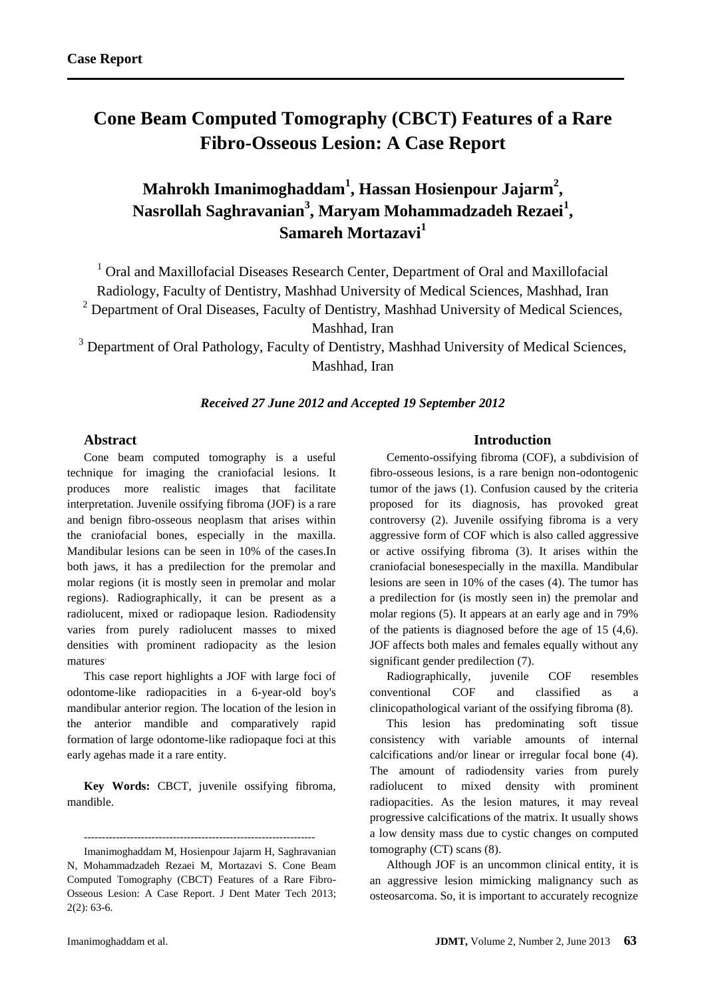# **Cone Beam Computed Tomography (CBCT) Features of a Rare Fibro-Osseous Lesion: A Case Report**

# **Mahrokh Imanimoghaddam<sup>1</sup> , Hassan Hosienpour Jajarm<sup>2</sup> , Nasrollah Saghravanian<sup>3</sup> , Maryam Mohammadzadeh Rezaei<sup>1</sup> , Samareh Mortazavi<sup>1</sup>**

<sup>1</sup> Oral and Maxillofacial Diseases Research Center, Department of Oral and Maxillofacial Radiology, Faculty of Dentistry, Mashhad University of Medical Sciences, Mashhad, Iran <sup>2</sup> Department of Oral Diseases, Faculty of Dentistry, Mashhad University of Medical Sciences, Mashhad, Iran

<sup>3</sup> Department of Oral Pathology, Faculty of Dentistry, Mashhad University of Medical Sciences, Mashhad, Iran

## *Received 27 June 2012 and Accepted 19 September 2012*

# **Abstract**

Cone beam computed tomography is a useful technique for imaging the craniofacial lesions. It produces more realistic images that facilitate interpretation. Juvenile ossifying fibroma (JOF) is a rare and benign fibro-osseous neoplasm that arises within the craniofacial bones, especially in the maxilla. Mandibular lesions can be seen in 10% of the cases.In both jaws, it has a predilection for the premolar and molar regions (it is mostly seen in premolar and molar regions). Radiographically, it can be present as a radiolucent, mixed or radiopaque lesion. Radiodensity varies from purely radiolucent masses to mixed densities with prominent radiopacity as the lesion matures.

This case report highlights a JOF with large foci of odontome-like radiopacities in a 6-year-old boy's mandibular anterior region. The location of the lesion in the anterior mandible and comparatively rapid formation of large odontome-like radiopaque foci at this early agehas made it a rare entity.

**Key Words:** CBCT, juvenile ossifying fibroma, mandible.

----------------------------------------------------------------- Imanimoghaddam M, Hosienpour Jajarm H, Saghravanian

N, Mohammadzadeh Rezaei M, Mortazavi S. Cone Beam Computed Tomography (CBCT) Features of a Rare Fibro-Osseous Lesion: A Case Report. J Dent Mater Tech 2013; 2(2): 63-6.

## **Introduction**

Cemento-ossifying fibroma (COF), a subdivision of fibro-osseous lesions, is a rare benign non-odontogenic tumor of the jaws (1). Confusion caused by the criteria proposed for its diagnosis, has provoked great controversy (2). Juvenile ossifying fibroma is a very aggressive form of COF which is also called aggressive or active ossifying fibroma (3). It arises within the craniofacial bonesespecially in the maxilla. Mandibular lesions are seen in 10% of the cases (4). The tumor has a predilection for (is mostly seen in) the premolar and molar regions (5). It appears at an early age and in 79% of the patients is diagnosed before the age of 15 (4,6). JOF affects both males and females equally without any significant gender predilection (7).

Radiographically, juvenile COF resembles conventional COF and classified as clinicopathological variant of the ossifying fibroma (8).

This lesion has predominating soft tissue consistency with variable amounts of internal calcifications and/or linear or irregular focal bone (4). The amount of radiodensity varies from purely radiolucent to mixed density with prominent radiopacities. As the lesion matures, it may reveal progressive calcifications of the matrix. It usually shows a low density mass due to cystic changes on computed tomography (CT) scans (8).

Although JOF is an uncommon clinical entity, it is an aggressive lesion mimicking malignancy such as osteosarcoma. So, it is important to accurately recognize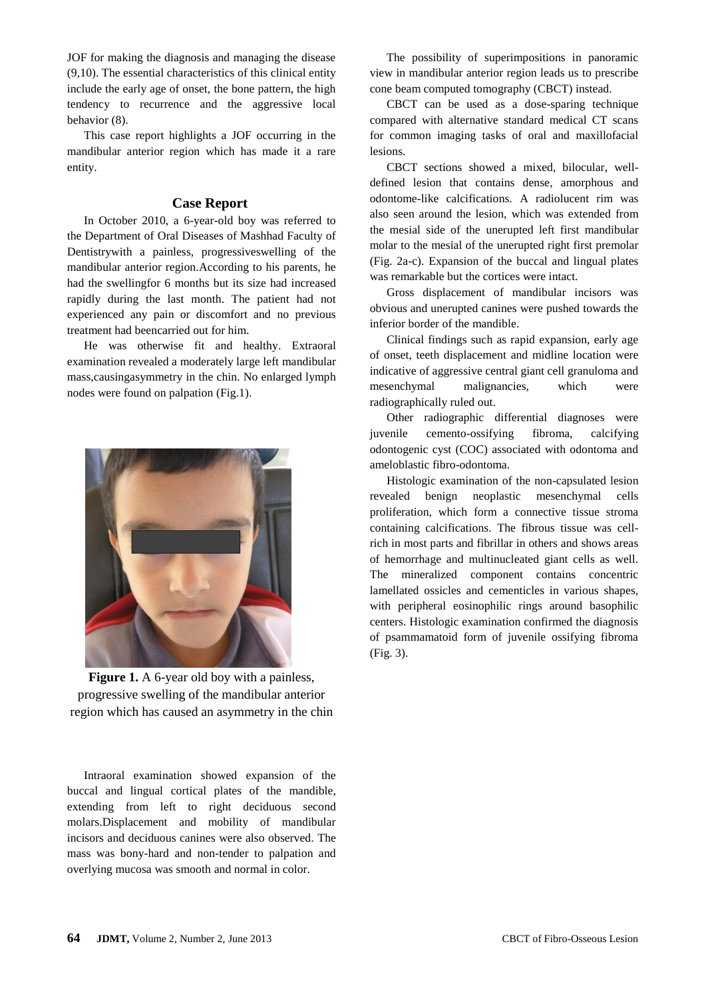JOF for making the diagnosis and managing the disease (9,10). The essential characteristics of this clinical entity include the early age of onset, the bone pattern, the high tendency to recurrence and the aggressive local behavior (8).

This case report highlights a JOF occurring in the mandibular anterior region which has made it a rare entity.

# **Case Report**

In October 2010, a 6-year-old boy was referred to the Department of Oral Diseases of Mashhad Faculty of Dentistrywith a painless, progressiveswelling of the mandibular anterior region.According to his parents, he had the swellingfor 6 months but its size had increased rapidly during the last month. The patient had not experienced any pain or discomfort and no previous treatment had beencarried out for him.

He was otherwise fit and healthy. Extraoral examination revealed a moderately large left mandibular mass,causingasymmetry in the chin. No enlarged lymph nodes were found on palpation (Fig.1).



**Figure 1.** A 6-year old boy with a painless, progressive swelling of the mandibular anterior region which has caused an asymmetry in the chin

Intraoral examination showed expansion of the buccal and lingual cortical plates of the mandible, extending from left to right deciduous second molars.Displacement and mobility of mandibular incisors and deciduous canines were also observed. The mass was bony-hard and non-tender to palpation and overlying mucosa was smooth and normal in color.

The possibility of superimpositions in panoramic view in mandibular anterior region leads us to prescribe cone beam computed tomography (CBCT) instead.

CBCT can be used as a dose-sparing technique compared with alternative standard medical CT scans for common imaging tasks of oral and maxillofacial lesions.

CBCT sections showed a mixed, bilocular, welldefined lesion that contains dense, amorphous and odontome-like calcifications. A radiolucent rim was also seen around the lesion, which was extended from the mesial side of the unerupted left first mandibular molar to the mesial of the unerupted right first premolar (Fig. 2a-c). Expansion of the buccal and lingual plates was remarkable but the cortices were intact.

Gross displacement of mandibular incisors was obvious and unerupted canines were pushed towards the inferior border of the mandible.

Clinical findings such as rapid expansion, early age of onset, teeth displacement and midline location were indicative of aggressive central giant cell granuloma and mesenchymal malignancies, which were radiographically ruled out.

Other radiographic differential diagnoses were juvenile cemento-ossifying fibroma, calcifying odontogenic cyst (COC) associated with odontoma and ameloblastic fibro-odontoma.

Histologic examination of the non-capsulated lesion revealed benign neoplastic mesenchymal cells proliferation, which form a connective tissue stroma containing calcifications. The fibrous tissue was cellrich in most parts and fibrillar in others and shows areas of hemorrhage and multinucleated giant cells as well. The mineralized component contains concentric lamellated ossicles and cementicles in various shapes, with peripheral eosinophilic rings around basophilic centers. Histologic examination confirmed the diagnosis of psammamatoid form of juvenile ossifying fibroma (Fig. 3).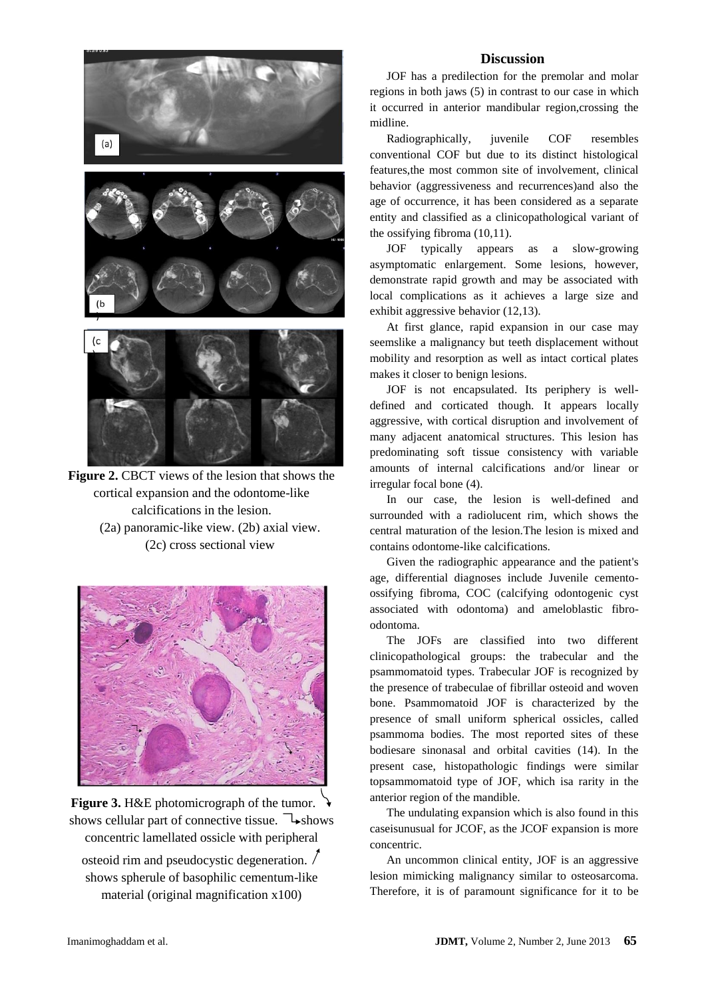

**Figure 2.** CBCT views of the lesion that shows the cortical expansion and the odontome-like calcifications in the lesion. (2a) panoramic-like view. (2b) axial view. (2c) cross sectional view



**Figure 3.** H&E photomicrograph of the tumor. shows cellular part of connective tissue.  $\rightarrow$ shows concentric lamellated ossicle with peripheral

osteoid rim and pseudocystic degeneration. shows spherule of basophilic cementum-like material (original magnification x100)

#### **Discussion**

JOF has a predilection for the premolar and molar regions in both jaws (5) in contrast to our case in which it occurred in anterior mandibular region,crossing the midline.

Radiographically, juvenile COF resembles conventional COF but due to its distinct histological features,the most common site of involvement, clinical behavior (aggressiveness and recurrences)and also the age of occurrence, it has been considered as a separate entity and classified as a clinicopathological variant of the ossifying fibroma (10,11).

JOF typically appears as a slow-growing asymptomatic enlargement. Some lesions, however, demonstrate rapid growth and may be associated with local complications as it achieves a large size and exhibit aggressive behavior (12,13).

At first glance, rapid expansion in our case may seemslike a malignancy but teeth displacement without mobility and resorption as well as intact cortical plates makes it closer to benign lesions.

JOF is not encapsulated. Its periphery is welldefined and corticated though. It appears locally aggressive, with cortical disruption and involvement of many adjacent anatomical structures. This lesion has predominating soft tissue consistency with variable amounts of internal calcifications and/or linear or irregular focal bone (4).

In our case, the lesion is well-defined and surrounded with a radiolucent rim, which shows the central maturation of the lesion.The lesion is mixed and contains odontome-like calcifications.

Given the radiographic appearance and the patient's age, differential diagnoses include Juvenile cementoossifying fibroma, COC (calcifying odontogenic cyst associated with odontoma) and ameloblastic fibroodontoma.

The JOFs are classified into two different clinicopathological groups: the trabecular and the psammomatoid types. Trabecular JOF is recognized by the presence of trabeculae of fibrillar osteoid and woven bone. Psammomatoid JOF is characterized by the presence of small uniform spherical ossicles, called psammoma bodies. The most reported sites of these bodiesare sinonasal and orbital cavities (14). In the present case, histopathologic findings were similar topsammomatoid type of JOF, which isa rarity in the anterior region of the mandible.

The undulating expansion which is also found in this caseisunusual for JCOF, as the JCOF expansion is more concentric.

An uncommon clinical entity, JOF is an aggressive lesion mimicking malignancy similar to osteosarcoma. Therefore, it is of paramount significance for it to be